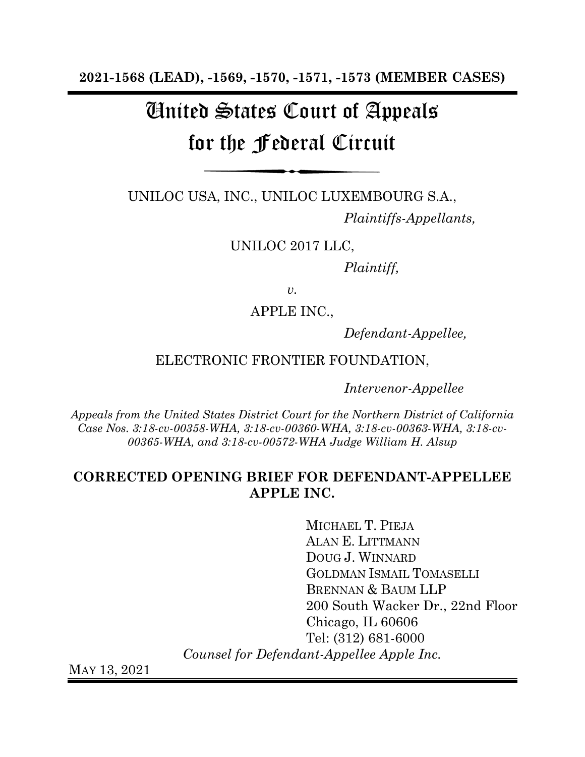**2021-1568 (LEAD), -1569, -1570, -1571, -1573 (MEMBER CASES)**

# United States Court of Appeals for the Federal Circuit

UNILOC USA, INC., UNILOC LUXEMBOURG S.A.,

*Plaintiffs-Appellants,* 

UNILOC 2017 LLC,

*Plaintiff,* 

 $v_{\rm}$ .

APPLE INC.,

*Defendant-Appellee,* 

ELECTRONIC FRONTIER FOUNDATION,

*Intervenor-Appellee*

*Appeals from the United States District Court for the Northern District of California Case Nos. 3:18-cv-00358-WHA, 3:18-cv-00360-WHA, 3:18-cv-00363-WHA, 3:18-cv-00365-WHA, and 3:18-cv-00572-WHA Judge William H. Alsup*

### **CORRECTED OPENING BRIEF FOR DEFENDANT-APPELLEE APPLE INC.**

MICHAEL T. PIEJA ALAN E. LITTMANN DOUG J. WINNARD GOLDMAN ISMAIL TOMASELLI BRENNAN & BAUM LLP 200 South Wacker Dr., 22nd Floor Chicago, IL 60606 Tel: (312) 681-6000 *Counsel for Defendant-Appellee Apple Inc.*

MAY 13, 2021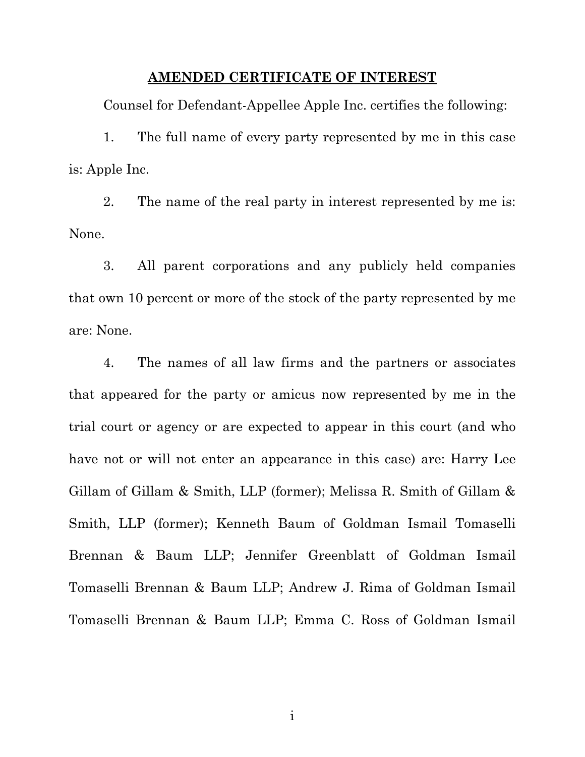#### **AMENDED CERTIFICATE OF INTEREST**

<span id="page-1-0"></span>Counsel for Defendant-Appellee Apple Inc. certifies the following:

1. The full name of every party represented by me in this case is: Apple Inc.

2. The name of the real party in interest represented by me is: None.

3. All parent corporations and any publicly held companies that own 10 percent or more of the stock of the party represented by me are: None.

4. The names of all law firms and the partners or associates that appeared for the party or amicus now represented by me in the trial court or agency or are expected to appear in this court (and who have not or will not enter an appearance in this case) are: Harry Lee Gillam of Gillam & Smith, LLP (former); Melissa R. Smith of Gillam & Smith, LLP (former); Kenneth Baum of Goldman Ismail Tomaselli Brennan & Baum LLP; Jennifer Greenblatt of Goldman Ismail Tomaselli Brennan & Baum LLP; Andrew J. Rima of Goldman Ismail Tomaselli Brennan & Baum LLP; Emma C. Ross of Goldman Ismail

i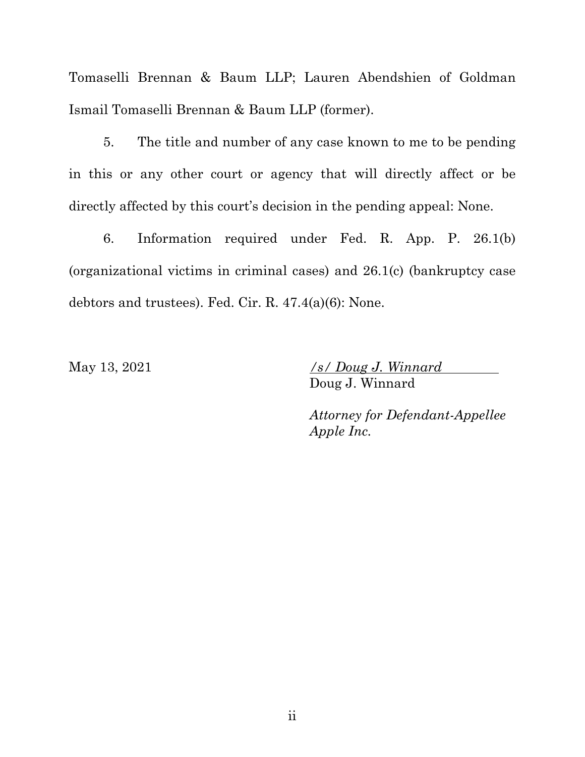Tomaselli Brennan & Baum LLP; Lauren Abendshien of Goldman Ismail Tomaselli Brennan & Baum LLP (former).

5. The title and number of any case known to me to be pending in this or any other court or agency that will directly affect or be directly affected by this court's decision in the pending appeal: None.

6. Information required under Fed. R. App. P. 26.1(b) (organizational victims in criminal cases) and 26.1(c) (bankruptcy case debtors and trustees). Fed. Cir. R. 47.4(a)(6): None.

May 13, 2021 */s/ Doug J. Winnard* Doug J. Winnard

> *Attorney for Defendant-Appellee Apple Inc.*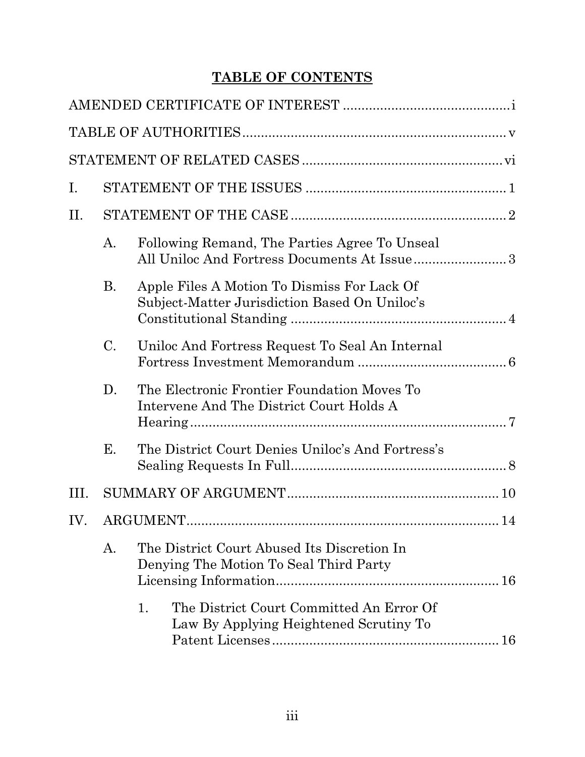# **TABLE OF CONTENTS**

| Ι.   |           |                                                                                              |  |  |  |  |  |  |
|------|-----------|----------------------------------------------------------------------------------------------|--|--|--|--|--|--|
| П.   |           |                                                                                              |  |  |  |  |  |  |
|      | A.        | Following Remand, The Parties Agree To Unseal<br>All Uniloc And Fortress Documents At Issue3 |  |  |  |  |  |  |
|      | <b>B.</b> | Apple Files A Motion To Dismiss For Lack Of<br>Subject-Matter Jurisdiction Based On Uniloc's |  |  |  |  |  |  |
|      | C.        | Uniloc And Fortress Request To Seal An Internal                                              |  |  |  |  |  |  |
|      | D.        | The Electronic Frontier Foundation Moves To<br>Intervene And The District Court Holds A      |  |  |  |  |  |  |
|      | Е.        | The District Court Denies Uniloc's And Fortress's                                            |  |  |  |  |  |  |
| III. |           |                                                                                              |  |  |  |  |  |  |
| IV.  |           | ARGUMENT<br>14                                                                               |  |  |  |  |  |  |
|      | A.        | The District Court Abused Its Discretion In<br>Denying The Motion To Seal Third Party        |  |  |  |  |  |  |
|      |           | 1.<br>The District Court Committed An Error Of<br>Law By Applying Heightened Scrutiny To     |  |  |  |  |  |  |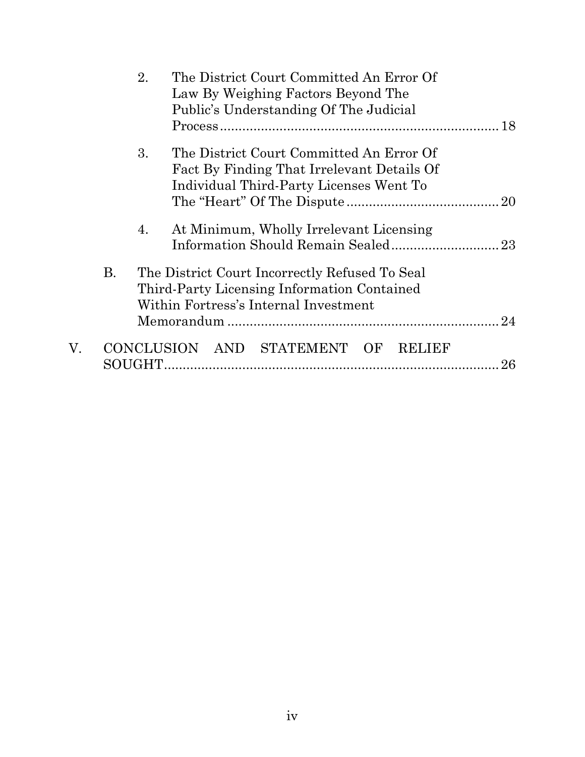|    |           | 2.      | The District Court Committed An Error Of<br>Law By Weighing Factors Beyond The<br>Public's Understanding Of The Judicial               |    |  |  |  |
|----|-----------|---------|----------------------------------------------------------------------------------------------------------------------------------------|----|--|--|--|
|    |           | 3.      | The District Court Committed An Error Of<br>Fact By Finding That Irrelevant Details Of<br>Individual Third-Party Licenses Went To      |    |  |  |  |
|    |           | 4.      | At Minimum, Wholly Irrelevant Licensing                                                                                                |    |  |  |  |
|    | <b>B.</b> |         | The District Court Incorrectly Refused To Seal<br>Third-Party Licensing Information Contained<br>Within Fortress's Internal Investment |    |  |  |  |
|    |           |         |                                                                                                                                        |    |  |  |  |
| V. |           | SOUGHT. | CONCLUSION AND STATEMENT OF RELIEF                                                                                                     | 26 |  |  |  |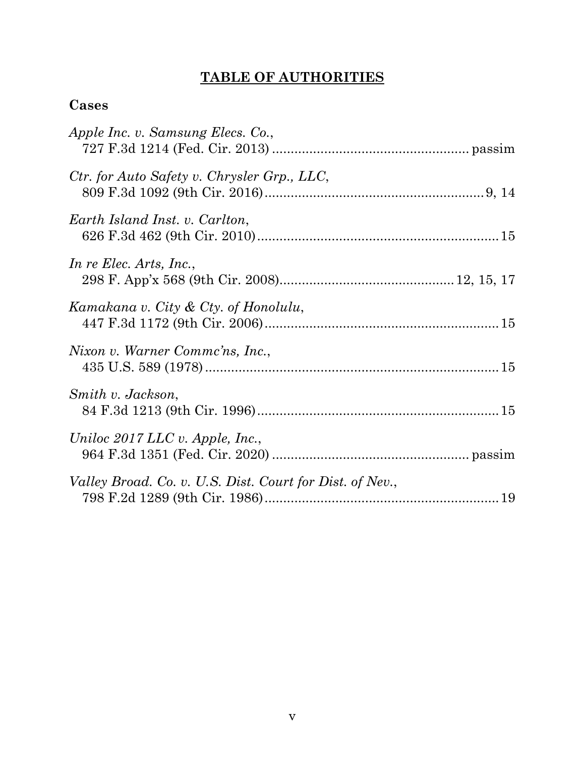# **TABLE OF AUTHORITIES**

# <span id="page-5-0"></span>**Cases**

| Apple Inc. v. Samsung Elecs. Co.,                        |
|----------------------------------------------------------|
| Ctr. for Auto Safety v. Chrysler Grp., LLC,              |
| Earth Island Inst. v. Carlton,                           |
| In re Elec. Arts, Inc.,                                  |
| Kamakana v. City & Cty. of Honolulu,                     |
| Nixon v. Warner Commc'ns, Inc.,                          |
| Smith v. Jackson,                                        |
| Uniloc $2017$ LLC v. Apple, Inc.,                        |
| Valley Broad. Co. v. U.S. Dist. Court for Dist. of Nev., |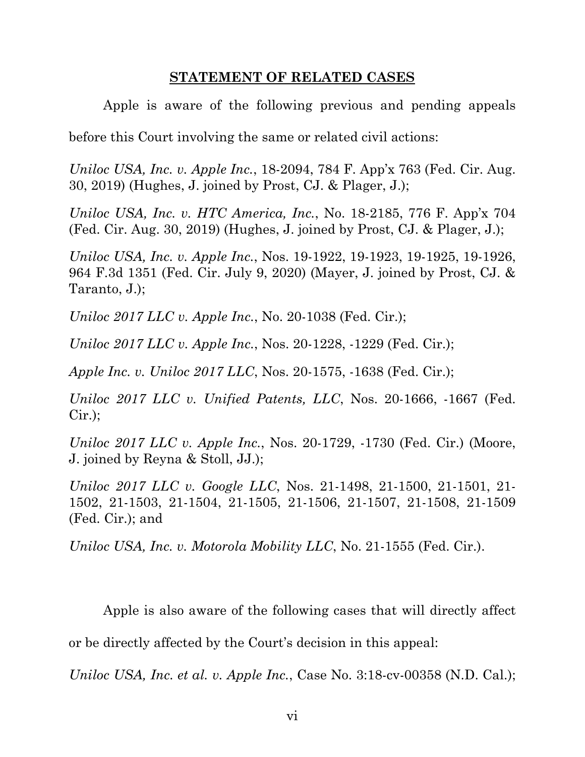#### **STATEMENT OF RELATED CASES**

<span id="page-6-0"></span>Apple is aware of the following previous and pending appeals

before this Court involving the same or related civil actions:

*Uniloc USA, Inc. v. Apple Inc.*, 18-2094, 784 F. App'x 763 (Fed. Cir. Aug. 30, 2019) (Hughes, J. joined by Prost, CJ. & Plager, J.);

*Uniloc USA, Inc. v. HTC America, Inc.*, No. 18-2185, 776 F. App'x 704 (Fed. Cir. Aug. 30, 2019) (Hughes, J. joined by Prost, CJ. & Plager, J.);

*Uniloc USA, Inc. v. Apple Inc.*, Nos. 19-1922, 19-1923, 19-1925, 19-1926, 964 F.3d 1351 (Fed. Cir. July 9, 2020) (Mayer, J. joined by Prost, CJ. & Taranto, J.);

*Uniloc 2017 LLC v. Apple Inc.*, No. 20-1038 (Fed. Cir.);

*Uniloc 2017 LLC v. Apple Inc.*, Nos. 20-1228, -1229 (Fed. Cir.);

*Apple Inc. v. Uniloc 2017 LLC*, Nos. 20-1575, -1638 (Fed. Cir.);

*Uniloc 2017 LLC v. Unified Patents, LLC*, Nos. 20-1666, -1667 (Fed. Cir.);

*Uniloc 2017 LLC v. Apple Inc.*, Nos. 20-1729, -1730 (Fed. Cir.) (Moore, J. joined by Reyna & Stoll, JJ.);

*Uniloc 2017 LLC v. Google LLC*, Nos. 21-1498, 21-1500, 21-1501, 21- 1502, 21-1503, 21-1504, 21-1505, 21-1506, 21-1507, 21-1508, 21-1509 (Fed. Cir.); and

*Uniloc USA, Inc. v. Motorola Mobility LLC*, No. 21-1555 (Fed. Cir.).

Apple is also aware of the following cases that will directly affect or be directly affected by the Court's decision in this appeal:

*Uniloc USA, Inc. et al. v. Apple Inc.*, Case No. 3:18-cv-00358 (N.D. Cal.);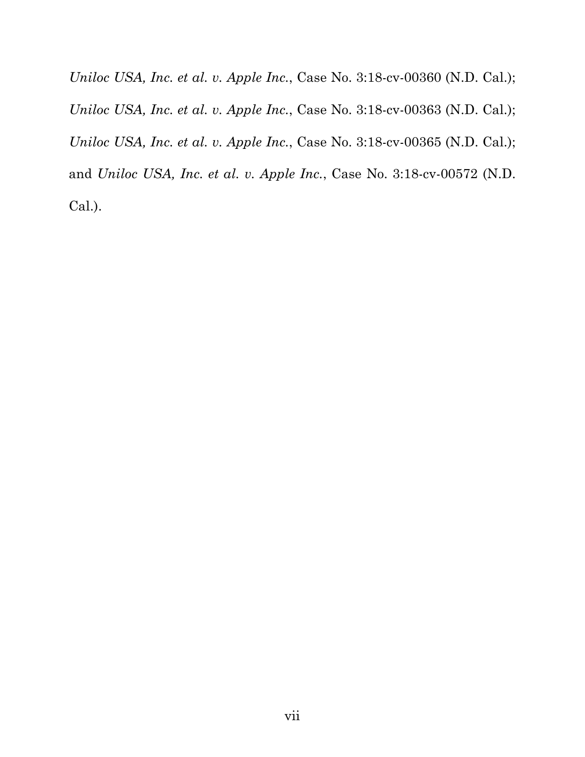*Uniloc USA, Inc. et al. v. Apple Inc.*, Case No. 3:18-cv-00360 (N.D. Cal.); *Uniloc USA, Inc. et al. v. Apple Inc.*, Case No. 3:18-cv-00363 (N.D. Cal.); *Uniloc USA, Inc. et al. v. Apple Inc.*, Case No. 3:18-cv-00365 (N.D. Cal.); and *Uniloc USA, Inc. et al. v. Apple Inc.*, Case No. 3:18-cv-00572 (N.D. Cal.).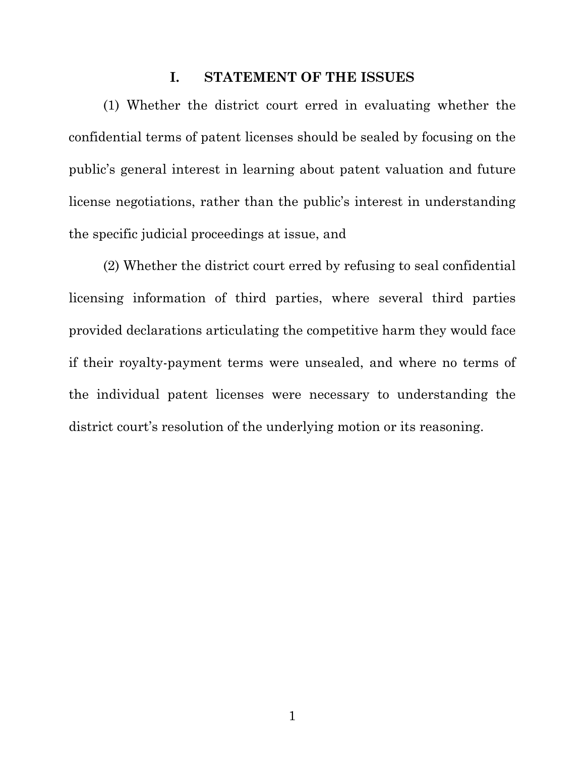#### **I. STATEMENT OF THE ISSUES**

<span id="page-8-0"></span>(1) Whether the district court erred in evaluating whether the confidential terms of patent licenses should be sealed by focusing on the public's general interest in learning about patent valuation and future license negotiations, rather than the public's interest in understanding the specific judicial proceedings at issue, and

(2) Whether the district court erred by refusing to seal confidential licensing information of third parties, where several third parties provided declarations articulating the competitive harm they would face if their royalty-payment terms were unsealed, and where no terms of the individual patent licenses were necessary to understanding the district court's resolution of the underlying motion or its reasoning.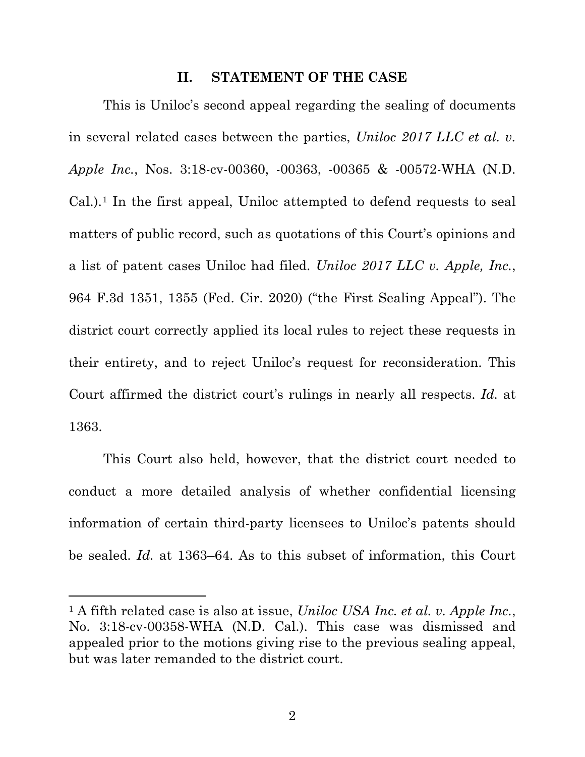#### **II. STATEMENT OF THE CASE**

<span id="page-9-0"></span>This is Uniloc's second appeal regarding the sealing of documents in several related cases between the parties, *Uniloc 2017 LLC et al. v. Apple Inc.*, Nos. 3:18-cv-00360, -00363, -00365 & -00572-WHA (N.D. Cal.).[1](#page-9-1) In the first appeal, Uniloc attempted to defend requests to seal matters of public record, such as quotations of this Court's opinions and a list of patent cases Uniloc had filed. *Uniloc 2017 LLC v. Apple, Inc.*, 964 F.3d 1351, 1355 (Fed. Cir. 2020) ("the First Sealing Appeal"). The district court correctly applied its local rules to reject these requests in their entirety, and to reject Uniloc's request for reconsideration. This Court affirmed the district court's rulings in nearly all respects. *Id.* at 1363.

This Court also held, however, that the district court needed to conduct a more detailed analysis of whether confidential licensing information of certain third-party licensees to Uniloc's patents should be sealed. *Id.* at 1363–64. As to this subset of information, this Court

<span id="page-9-1"></span><sup>1</sup> A fifth related case is also at issue, *Uniloc USA Inc. et al. v. Apple Inc.*, No. 3:18-cv-00358-WHA (N.D. Cal.). This case was dismissed and appealed prior to the motions giving rise to the previous sealing appeal, but was later remanded to the district court.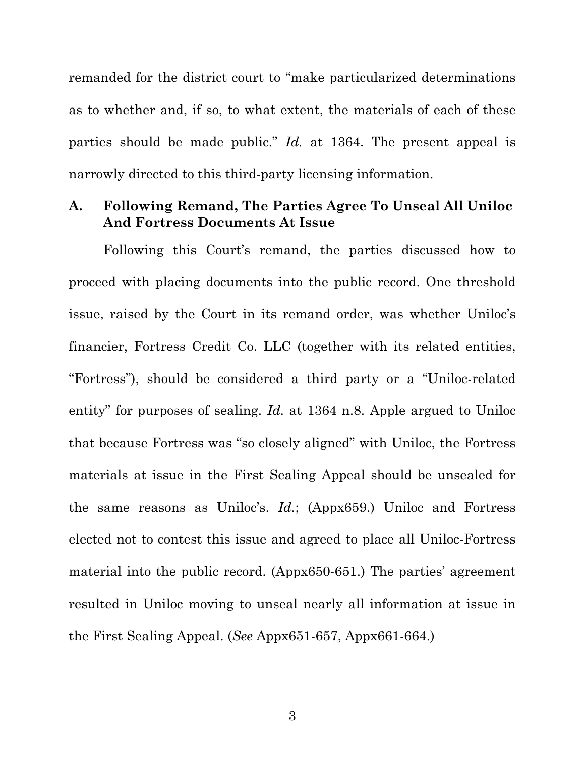remanded for the district court to "make particularized determinations as to whether and, if so, to what extent, the materials of each of these parties should be made public." *Id.* at 1364. The present appeal is narrowly directed to this third-party licensing information.

#### <span id="page-10-0"></span>**A. Following Remand, The Parties Agree To Unseal All Uniloc And Fortress Documents At Issue**

Following this Court's remand, the parties discussed how to proceed with placing documents into the public record. One threshold issue, raised by the Court in its remand order, was whether Uniloc's financier, Fortress Credit Co. LLC (together with its related entities, "Fortress"), should be considered a third party or a "Uniloc-related entity" for purposes of sealing. *Id.* at 1364 n.8. Apple argued to Uniloc that because Fortress was "so closely aligned" with Uniloc, the Fortress materials at issue in the First Sealing Appeal should be unsealed for the same reasons as Uniloc's. *Id.*; (Appx659.) Uniloc and Fortress elected not to contest this issue and agreed to place all Uniloc-Fortress material into the public record. (Appx650-651.) The parties' agreement resulted in Uniloc moving to unseal nearly all information at issue in the First Sealing Appeal. (*See* Appx651-657, Appx661-664.)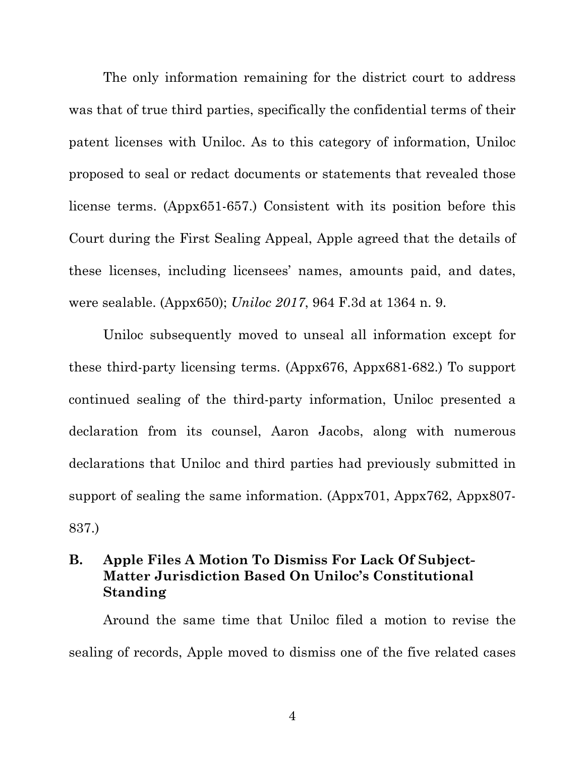The only information remaining for the district court to address was that of true third parties, specifically the confidential terms of their patent licenses with Uniloc. As to this category of information, Uniloc proposed to seal or redact documents or statements that revealed those license terms. (Appx651-657.) Consistent with its position before this Court during the First Sealing Appeal, Apple agreed that the details of these licenses, including licensees' names, amounts paid, and dates, were sealable. (Appx650); *Uniloc 2017*, 964 F.3d at 1364 n. 9.

Uniloc subsequently moved to unseal all information except for these third-party licensing terms. (Appx676, Appx681-682.) To support continued sealing of the third-party information, Uniloc presented a declaration from its counsel, Aaron Jacobs, along with numerous declarations that Uniloc and third parties had previously submitted in support of sealing the same information. (Appx701, Appx762, Appx807-837.)

# <span id="page-11-0"></span>**B. Apple Files A Motion To Dismiss For Lack Of Subject-Matter Jurisdiction Based On Uniloc's Constitutional Standing**

Around the same time that Uniloc filed a motion to revise the sealing of records, Apple moved to dismiss one of the five related cases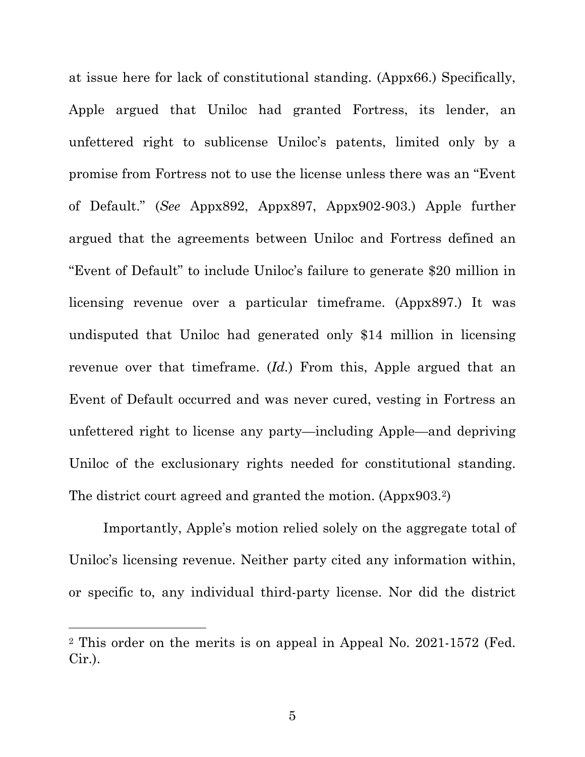at issue here for lack of constitutional standing. (Appx66.) Specifically, Apple argued that Uniloc had granted Fortress, its lender, an unfettered right to sublicense Uniloc's patents, limited only by a promise from Fortress not to use the license unless there was an "Event of Default." (*See* Appx892, Appx897, Appx902-903.) Apple further argued that the agreements between Uniloc and Fortress defined an "Event of Default" to include Uniloc's failure to generate \$20 million in licensing revenue over a particular timeframe. (Appx897.) It was undisputed that Uniloc had generated only \$14 million in licensing revenue over that timeframe. (*Id.*) From this, Apple argued that an Event of Default occurred and was never cured, vesting in Fortress an unfettered right to license any party—including Apple—and depriving Uniloc of the exclusionary rights needed for constitutional standing. The district court agreed and granted the motion. (Appx903[.2](#page-12-0))

Importantly, Apple's motion relied solely on the aggregate total of Uniloc's licensing revenue. Neither party cited any information within, or specific to, any individual third-party license. Nor did the district

<span id="page-12-0"></span><sup>2</sup> This order on the merits is on appeal in Appeal No. 2021-1572 (Fed. Cir.).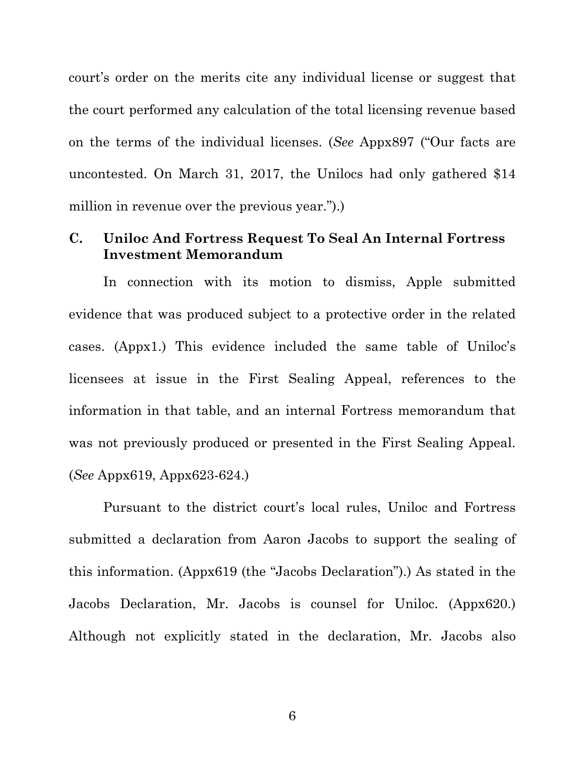court's order on the merits cite any individual license or suggest that the court performed any calculation of the total licensing revenue based on the terms of the individual licenses. (*See* Appx897 ("Our facts are uncontested. On March 31, 2017, the Unilocs had only gathered \$14 million in revenue over the previous year.").)

# <span id="page-13-0"></span>**C. Uniloc And Fortress Request To Seal An Internal Fortress Investment Memorandum**

In connection with its motion to dismiss, Apple submitted evidence that was produced subject to a protective order in the related cases. (Appx1.) This evidence included the same table of Uniloc's licensees at issue in the First Sealing Appeal, references to the information in that table, and an internal Fortress memorandum that was not previously produced or presented in the First Sealing Appeal. (*See* Appx619, Appx623-624.)

Pursuant to the district court's local rules, Uniloc and Fortress submitted a declaration from Aaron Jacobs to support the sealing of this information. (Appx619 (the "Jacobs Declaration").) As stated in the Jacobs Declaration, Mr. Jacobs is counsel for Uniloc. (Appx620.) Although not explicitly stated in the declaration, Mr. Jacobs also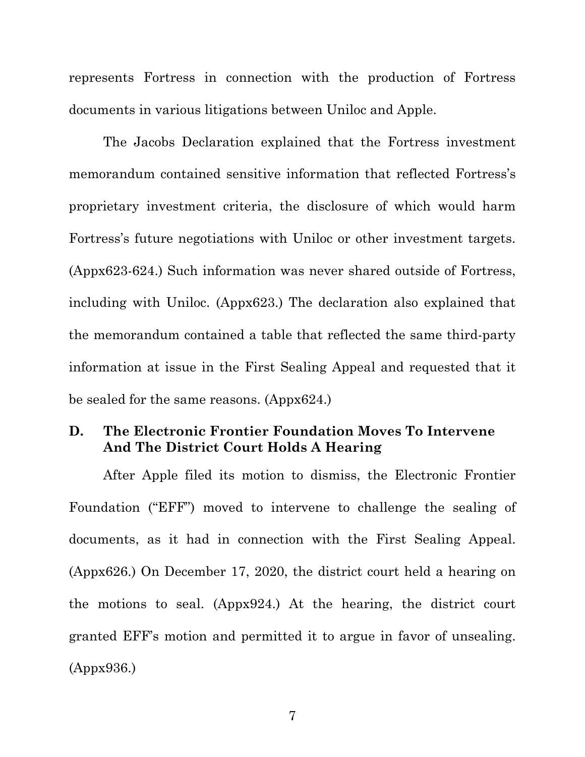represents Fortress in connection with the production of Fortress documents in various litigations between Uniloc and Apple.

The Jacobs Declaration explained that the Fortress investment memorandum contained sensitive information that reflected Fortress's proprietary investment criteria, the disclosure of which would harm Fortress's future negotiations with Uniloc or other investment targets. (Appx623-624.) Such information was never shared outside of Fortress, including with Uniloc. (Appx623.) The declaration also explained that the memorandum contained a table that reflected the same third-party information at issue in the First Sealing Appeal and requested that it be sealed for the same reasons. (Appx624.)

# <span id="page-14-0"></span>**D. The Electronic Frontier Foundation Moves To Intervene And The District Court Holds A Hearing**

After Apple filed its motion to dismiss, the Electronic Frontier Foundation ("EFF") moved to intervene to challenge the sealing of documents, as it had in connection with the First Sealing Appeal. (Appx626.) On December 17, 2020, the district court held a hearing on the motions to seal. (Appx924.) At the hearing, the district court granted EFF's motion and permitted it to argue in favor of unsealing. (Appx936.)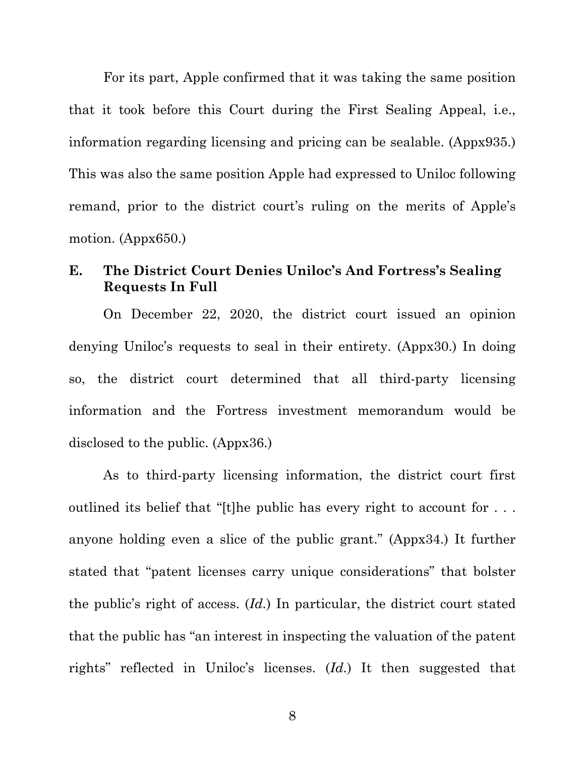For its part, Apple confirmed that it was taking the same position that it took before this Court during the First Sealing Appeal, i.e., information regarding licensing and pricing can be sealable. (Appx935.) This was also the same position Apple had expressed to Uniloc following remand, prior to the district court's ruling on the merits of Apple's motion. (Appx650.)

#### <span id="page-15-0"></span>**E. The District Court Denies Uniloc's And Fortress's Sealing Requests In Full**

On December 22, 2020, the district court issued an opinion denying Uniloc's requests to seal in their entirety. (Appx30.) In doing so, the district court determined that all third-party licensing information and the Fortress investment memorandum would be disclosed to the public. (Appx36.)

As to third-party licensing information, the district court first outlined its belief that "[t]he public has every right to account for . . . anyone holding even a slice of the public grant." (Appx34.) It further stated that "patent licenses carry unique considerations" that bolster the public's right of access. (*Id.*) In particular, the district court stated that the public has "an interest in inspecting the valuation of the patent rights" reflected in Uniloc's licenses. (*Id.*) It then suggested that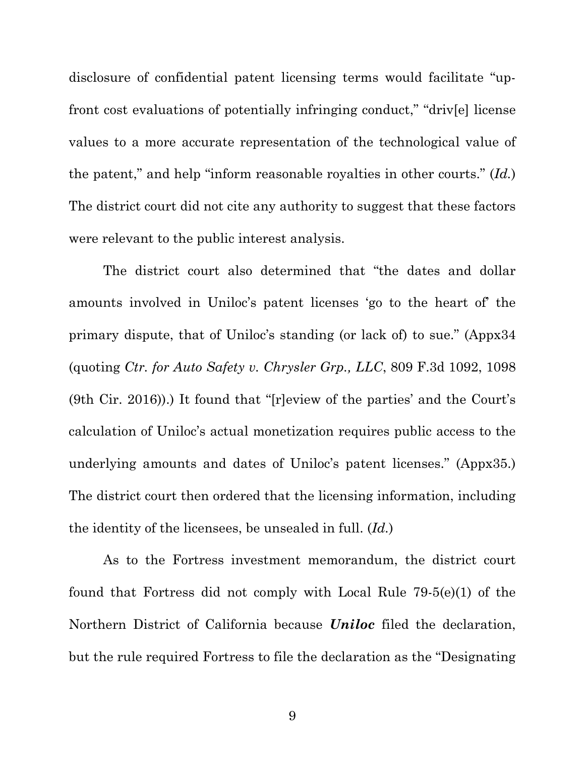disclosure of confidential patent licensing terms would facilitate "upfront cost evaluations of potentially infringing conduct," "driv[e] license values to a more accurate representation of the technological value of the patent," and help "inform reasonable royalties in other courts." (*Id.*) The district court did not cite any authority to suggest that these factors were relevant to the public interest analysis.

The district court also determined that "the dates and dollar amounts involved in Uniloc's patent licenses 'go to the heart of' the primary dispute, that of Uniloc's standing (or lack of) to sue." (Appx34 (quoting *Ctr. for Auto Safety v. Chrysler Grp., LLC*, 809 F.3d 1092, 1098 (9th Cir. 2016)).) It found that "[r]eview of the parties' and the Court's calculation of Uniloc's actual monetization requires public access to the underlying amounts and dates of Uniloc's patent licenses." (Appx35.) The district court then ordered that the licensing information, including the identity of the licensees, be unsealed in full. (*Id.*)

As to the Fortress investment memorandum, the district court found that Fortress did not comply with Local Rule 79-5(e)(1) of the Northern District of California because *Uniloc* filed the declaration, but the rule required Fortress to file the declaration as the "Designating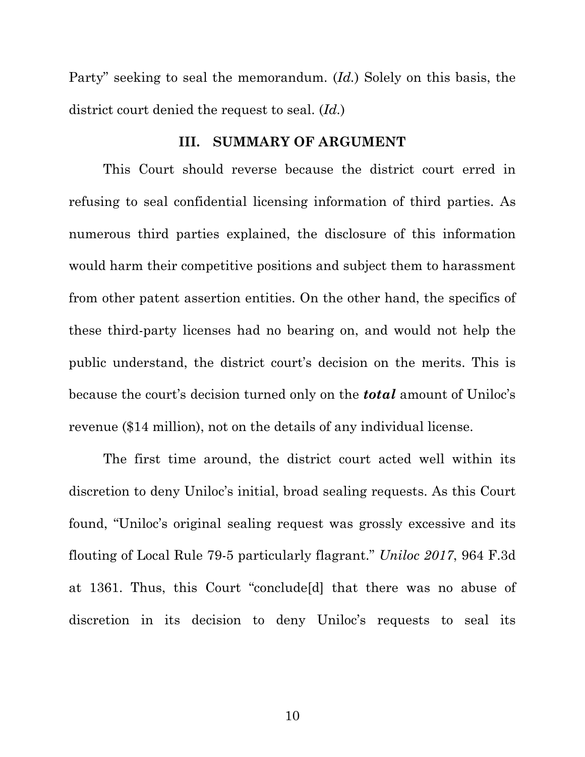Party" seeking to seal the memorandum. (*Id.*) Solely on this basis, the district court denied the request to seal. (*Id.*)

#### **III. SUMMARY OF ARGUMENT**

<span id="page-17-0"></span>This Court should reverse because the district court erred in refusing to seal confidential licensing information of third parties. As numerous third parties explained, the disclosure of this information would harm their competitive positions and subject them to harassment from other patent assertion entities. On the other hand, the specifics of these third-party licenses had no bearing on, and would not help the public understand, the district court's decision on the merits. This is because the court's decision turned only on the *total* amount of Uniloc's revenue (\$14 million), not on the details of any individual license.

The first time around, the district court acted well within its discretion to deny Uniloc's initial, broad sealing requests. As this Court found, "Uniloc's original sealing request was grossly excessive and its flouting of Local Rule 79-5 particularly flagrant." *Uniloc 2017*, 964 F.3d at 1361. Thus, this Court "conclude[d] that there was no abuse of discretion in its decision to deny Uniloc's requests to seal its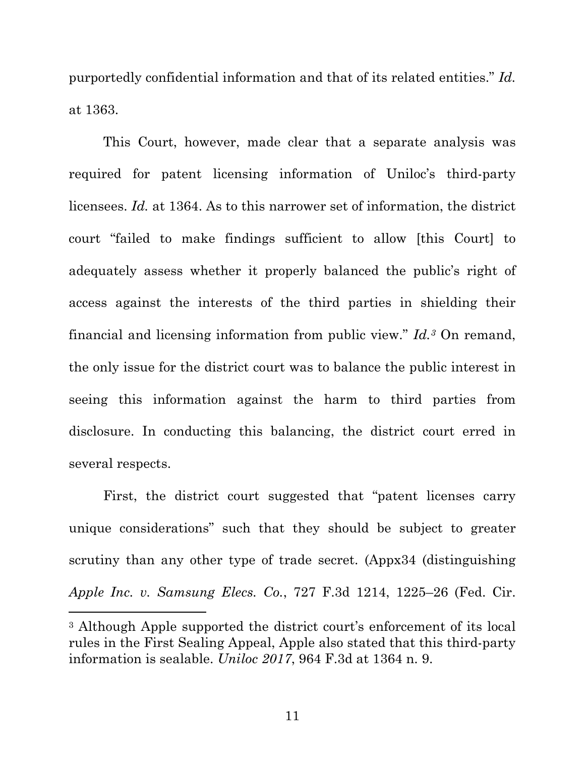purportedly confidential information and that of its related entities." *Id.* at 1363.

This Court, however, made clear that a separate analysis was required for patent licensing information of Uniloc's third-party licensees. *Id.* at 1364. As to this narrower set of information, the district court "failed to make findings sufficient to allow [this Court] to adequately assess whether it properly balanced the public's right of access against the interests of the third parties in shielding their financial and licensing information from public view." *Id.[3](#page-18-0)* On remand, the only issue for the district court was to balance the public interest in seeing this information against the harm to third parties from disclosure. In conducting this balancing, the district court erred in several respects.

First, the district court suggested that "patent licenses carry unique considerations" such that they should be subject to greater scrutiny than any other type of trade secret. (Appx34 (distinguishing *Apple Inc. v. Samsung Elecs. Co.*, 727 F.3d 1214, 1225–26 (Fed. Cir.

<span id="page-18-0"></span><sup>3</sup> Although Apple supported the district court's enforcement of its local rules in the First Sealing Appeal, Apple also stated that this third-party information is sealable. *Uniloc 2017*, 964 F.3d at 1364 n. 9.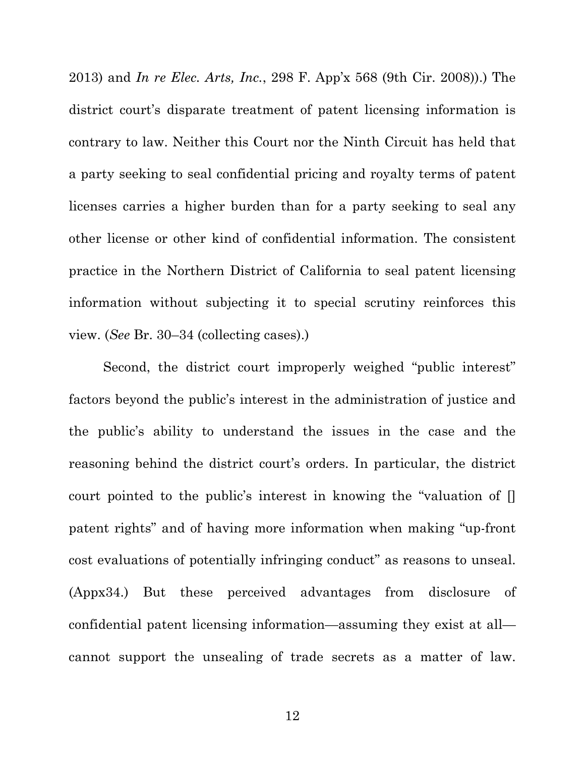2013) and *In re Elec. Arts, Inc.*, 298 F. App'x 568 (9th Cir. 2008)).) The district court's disparate treatment of patent licensing information is contrary to law. Neither this Court nor the Ninth Circuit has held that a party seeking to seal confidential pricing and royalty terms of patent licenses carries a higher burden than for a party seeking to seal any other license or other kind of confidential information. The consistent practice in the Northern District of California to seal patent licensing information without subjecting it to special scrutiny reinforces this view. (*See* Br. 30–34 (collecting cases).)

Second, the district court improperly weighed "public interest" factors beyond the public's interest in the administration of justice and the public's ability to understand the issues in the case and the reasoning behind the district court's orders. In particular, the district court pointed to the public's interest in knowing the "valuation of [] patent rights" and of having more information when making "up-front cost evaluations of potentially infringing conduct" as reasons to unseal. (Appx34.) But these perceived advantages from disclosure of confidential patent licensing information—assuming they exist at all cannot support the unsealing of trade secrets as a matter of law.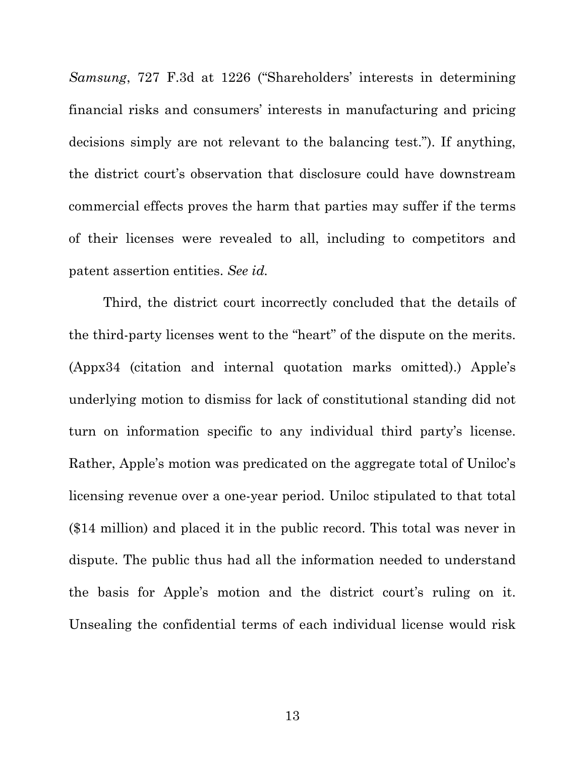*Samsung*, 727 F.3d at 1226 ("Shareholders' interests in determining financial risks and consumers' interests in manufacturing and pricing decisions simply are not relevant to the balancing test."). If anything, the district court's observation that disclosure could have downstream commercial effects proves the harm that parties may suffer if the terms of their licenses were revealed to all, including to competitors and patent assertion entities. *See id.*

Third, the district court incorrectly concluded that the details of the third-party licenses went to the "heart" of the dispute on the merits. (Appx34 (citation and internal quotation marks omitted).) Apple's underlying motion to dismiss for lack of constitutional standing did not turn on information specific to any individual third party's license. Rather, Apple's motion was predicated on the aggregate total of Uniloc's licensing revenue over a one-year period. Uniloc stipulated to that total (\$14 million) and placed it in the public record. This total was never in dispute. The public thus had all the information needed to understand the basis for Apple's motion and the district court's ruling on it. Unsealing the confidential terms of each individual license would risk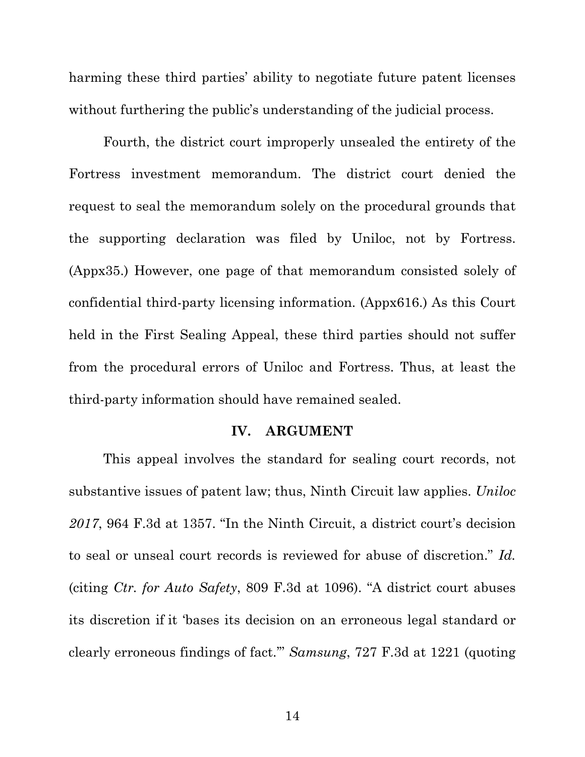harming these third parties' ability to negotiate future patent licenses without furthering the public's understanding of the judicial process.

Fourth, the district court improperly unsealed the entirety of the Fortress investment memorandum. The district court denied the request to seal the memorandum solely on the procedural grounds that the supporting declaration was filed by Uniloc, not by Fortress. (Appx35.) However, one page of that memorandum consisted solely of confidential third-party licensing information. (Appx616.) As this Court held in the First Sealing Appeal, these third parties should not suffer from the procedural errors of Uniloc and Fortress. Thus, at least the third-party information should have remained sealed.

#### **IV. ARGUMENT**

<span id="page-21-0"></span>This appeal involves the standard for sealing court records, not substantive issues of patent law; thus, Ninth Circuit law applies. *Uniloc 2017*, 964 F.3d at 1357. "In the Ninth Circuit, a district court's decision to seal or unseal court records is reviewed for abuse of discretion." *Id.* (citing *Ctr. for Auto Safety*, 809 F.3d at 1096). "A district court abuses its discretion if it 'bases its decision on an erroneous legal standard or clearly erroneous findings of fact.'" *Samsung*, 727 F.3d at 1221 (quoting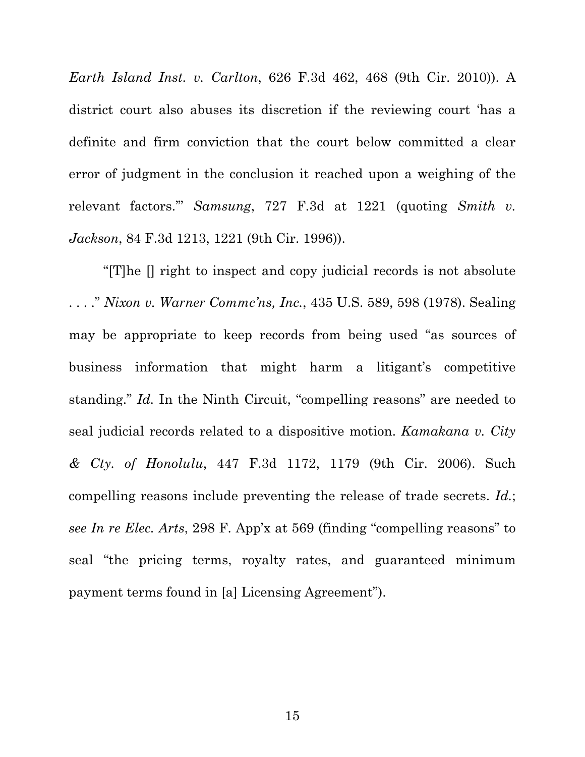*Earth Island Inst. v. Carlton*, 626 F.3d 462, 468 (9th Cir. 2010)). A district court also abuses its discretion if the reviewing court 'has a definite and firm conviction that the court below committed a clear error of judgment in the conclusion it reached upon a weighing of the relevant factors.'" *Samsung*, 727 F.3d at 1221 (quoting *[Smith v.](https://1.next.westlaw.com/Link/Document/FullText?findType=Y&serNum=1996128764&pubNum=0000506&originatingDoc=I3df7d6950bdc11e3a98ec867961a22de&refType=RP&fi=co_pp_sp_506_1221&originationContext=document&transitionType=DocumentItem&contextData=(sc.Search)#co_pp_sp_506_1221)  Jackson*, [84 F.3d 1213, 1221 \(9th Cir.](https://1.next.westlaw.com/Link/Document/FullText?findType=Y&serNum=1996128764&pubNum=0000506&originatingDoc=I3df7d6950bdc11e3a98ec867961a22de&refType=RP&fi=co_pp_sp_506_1221&originationContext=document&transitionType=DocumentItem&contextData=(sc.Search)#co_pp_sp_506_1221) 1996)).

"[T]he [] right to inspect and copy judicial records is not absolute . . . ." *Nixon v. Warner Commc'ns, Inc.*, 435 U.S. 589, 598 (1978). Sealing may be appropriate to keep records from being used "as sources of business information that might harm a litigant's competitive standing." *Id.* In the Ninth Circuit, "compelling reasons" are needed to seal judicial records related to a dispositive motion. *Kamakana v. City & Cty. of Honolulu*, 447 F.3d 1172, 1179 (9th Cir. 2006). Such compelling reasons include preventing the release of trade secrets. *Id.*; *see In re Elec. Arts*, 298 F. App'x at 569 (finding "compelling reasons" to seal "the pricing terms, royalty rates, and guaranteed minimum payment terms found in [a] Licensing Agreement").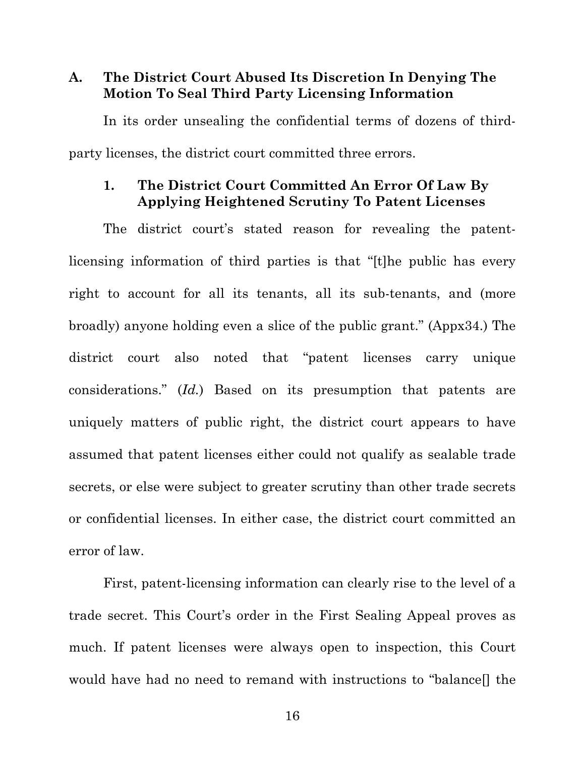# <span id="page-23-0"></span>**A. The District Court Abused Its Discretion In Denying The Motion To Seal Third Party Licensing Information**

In its order unsealing the confidential terms of dozens of thirdparty licenses, the district court committed three errors.

#### <span id="page-23-1"></span>**1. The District Court Committed An Error Of Law By Applying Heightened Scrutiny To Patent Licenses**

The district court's stated reason for revealing the patentlicensing information of third parties is that "[t]he public has every right to account for all its tenants, all its sub-tenants, and (more broadly) anyone holding even a slice of the public grant." (Appx34.) The district court also noted that "patent licenses carry unique considerations." (*Id.*) Based on its presumption that patents are uniquely matters of public right, the district court appears to have assumed that patent licenses either could not qualify as sealable trade secrets, or else were subject to greater scrutiny than other trade secrets or confidential licenses. In either case, the district court committed an error of law.

First, patent-licensing information can clearly rise to the level of a trade secret. This Court's order in the First Sealing Appeal proves as much. If patent licenses were always open to inspection, this Court would have had no need to remand with instructions to "balance[] the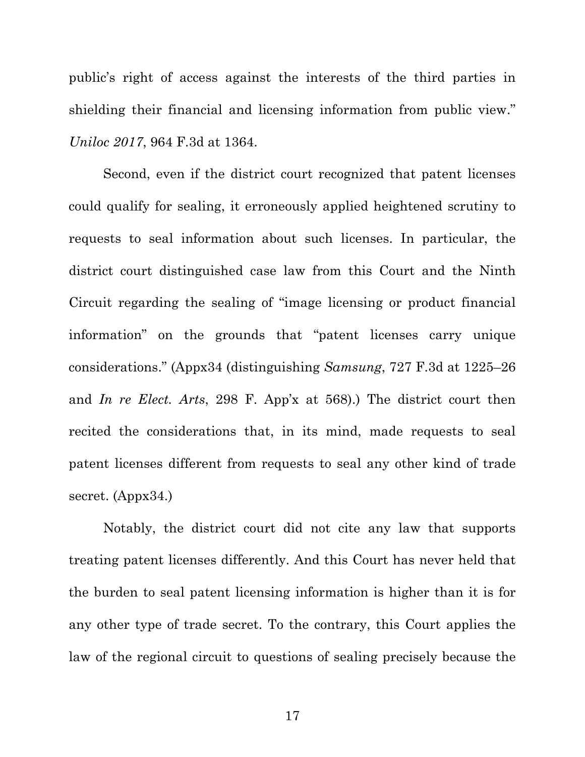public's right of access against the interests of the third parties in shielding their financial and licensing information from public view." *Uniloc 2017*, 964 F.3d at 1364.

Second, even if the district court recognized that patent licenses could qualify for sealing, it erroneously applied heightened scrutiny to requests to seal information about such licenses. In particular, the district court distinguished case law from this Court and the Ninth Circuit regarding the sealing of "image licensing or product financial information" on the grounds that "patent licenses carry unique considerations." (Appx34 (distinguishing *Samsung*, 727 F.3d at 1225–26 and *In re Elect. Arts*, 298 F. App'x at 568).) The district court then recited the considerations that, in its mind, made requests to seal patent licenses different from requests to seal any other kind of trade secret. (Appx34.)

Notably, the district court did not cite any law that supports treating patent licenses differently. And this Court has never held that the burden to seal patent licensing information is higher than it is for any other type of trade secret. To the contrary, this Court applies the law of the regional circuit to questions of sealing precisely because the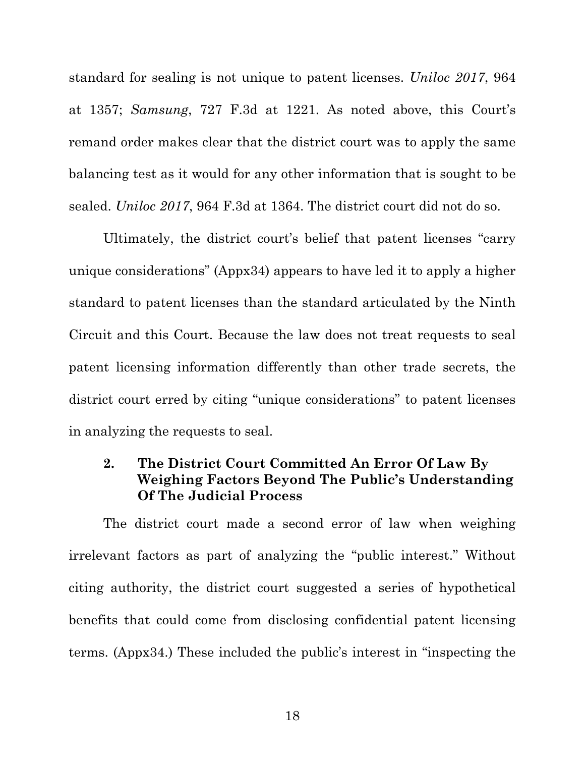standard for sealing is not unique to patent licenses. *Uniloc 2017*, 964 at 1357; *Samsung*, 727 F.3d at 1221. As noted above, this Court's remand order makes clear that the district court was to apply the same balancing test as it would for any other information that is sought to be sealed. *Uniloc 2017*, 964 F.3d at 1364. The district court did not do so.

Ultimately, the district court's belief that patent licenses "carry unique considerations" (Appx34) appears to have led it to apply a higher standard to patent licenses than the standard articulated by the Ninth Circuit and this Court. Because the law does not treat requests to seal patent licensing information differently than other trade secrets, the district court erred by citing "unique considerations" to patent licenses in analyzing the requests to seal.

### <span id="page-25-0"></span>**2. The District Court Committed An Error Of Law By Weighing Factors Beyond The Public's Understanding Of The Judicial Process**

The district court made a second error of law when weighing irrelevant factors as part of analyzing the "public interest." Without citing authority, the district court suggested a series of hypothetical benefits that could come from disclosing confidential patent licensing terms. (Appx34.) These included the public's interest in "inspecting the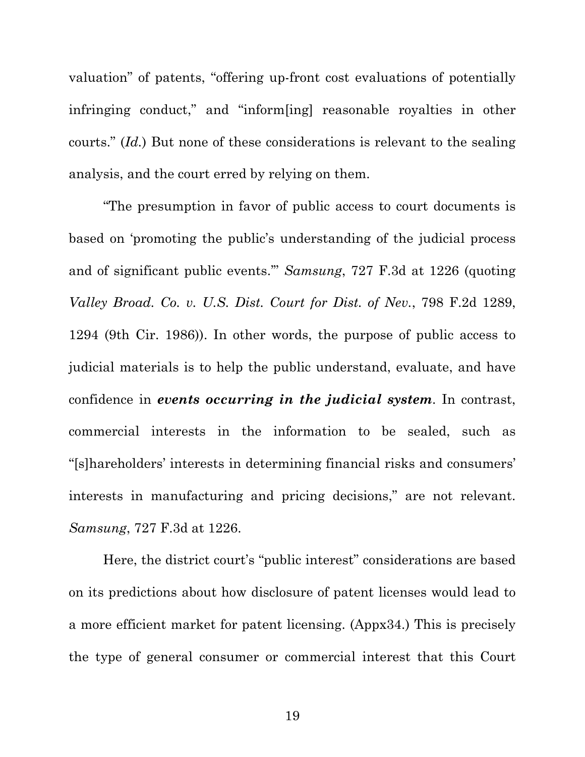valuation" of patents, "offering up-front cost evaluations of potentially infringing conduct," and "inform[ing] reasonable royalties in other courts." (*Id.*) But none of these considerations is relevant to the sealing analysis, and the court erred by relying on them.

"The presumption in favor of public access to court documents is based on 'promoting the public's understanding of the judicial process and of significant public events.'" *Samsung*, 727 F.3d at 1226 (quoting *[Valley Broad. Co. v. U.S. Dist. Court for Dist. of Nev.](https://1.next.westlaw.com/Link/Document/FullText?findType=Y&serNum=1986144422&pubNum=0000350&originatingDoc=I3df7d6950bdc11e3a98ec867961a22de&refType=RP&fi=co_pp_sp_350_1294&originationContext=document&transitionType=DocumentItem&contextData=(sc.DocLink)#co_pp_sp_350_1294)*, [798 F.2d 1289,](https://1.next.westlaw.com/Link/Document/FullText?findType=Y&serNum=1986144422&pubNum=0000350&originatingDoc=I3df7d6950bdc11e3a98ec867961a22de&refType=RP&fi=co_pp_sp_350_1294&originationContext=document&transitionType=DocumentItem&contextData=(sc.DocLink)#co_pp_sp_350_1294)  [1294 \(9th Cir.](https://1.next.westlaw.com/Link/Document/FullText?findType=Y&serNum=1986144422&pubNum=0000350&originatingDoc=I3df7d6950bdc11e3a98ec867961a22de&refType=RP&fi=co_pp_sp_350_1294&originationContext=document&transitionType=DocumentItem&contextData=(sc.DocLink)#co_pp_sp_350_1294) 1986)). In other words, the purpose of public access to judicial materials is to help the public understand, evaluate, and have confidence in *events occurring in the judicial system*. In contrast, commercial interests in the information to be sealed, such as "[s]hareholders' interests in determining financial risks and consumers' interests in manufacturing and pricing decisions," are not relevant. *Samsung*, 727 F.3d at 1226.

Here, the district court's "public interest" considerations are based on its predictions about how disclosure of patent licenses would lead to a more efficient market for patent licensing. (Appx34.) This is precisely the type of general consumer or commercial interest that this Court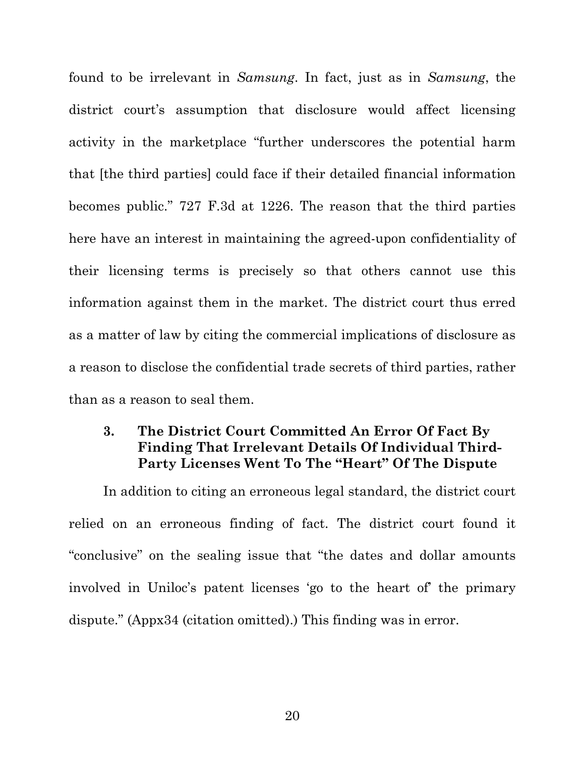found to be irrelevant in *Samsung*. In fact, just as in *Samsung*, the district court's assumption that disclosure would affect licensing activity in the marketplace "further underscores the potential harm that [the third parties] could face if their detailed financial information becomes public." 727 F.3d at 1226. The reason that the third parties here have an interest in maintaining the agreed-upon confidentiality of their licensing terms is precisely so that others cannot use this information against them in the market. The district court thus erred as a matter of law by citing the commercial implications of disclosure as a reason to disclose the confidential trade secrets of third parties, rather than as a reason to seal them.

### <span id="page-27-0"></span>**3. The District Court Committed An Error Of Fact By Finding That Irrelevant Details Of Individual Third-Party Licenses Went To The "Heart" Of The Dispute**

In addition to citing an erroneous legal standard, the district court relied on an erroneous finding of fact. The district court found it "conclusive" on the sealing issue that "the dates and dollar amounts involved in Uniloc's patent licenses 'go to the heart of' the primary dispute." (Appx34 (citation omitted).) This finding was in error.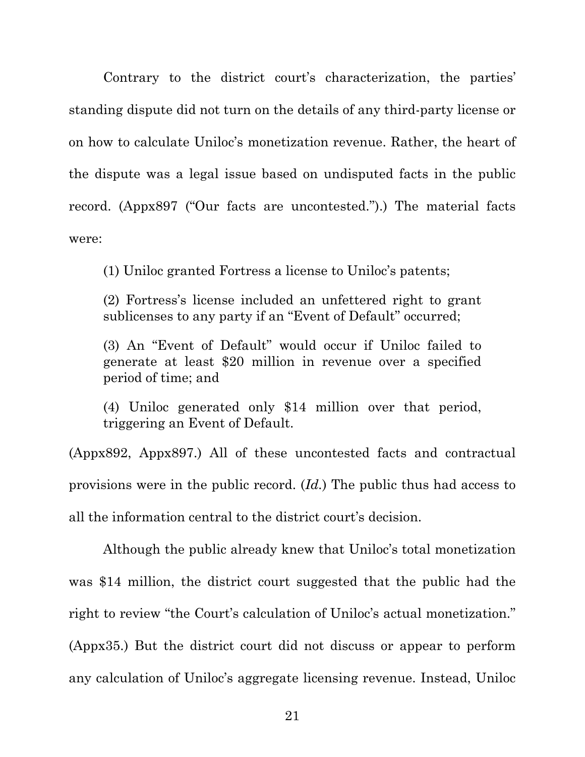Contrary to the district court's characterization, the parties' standing dispute did not turn on the details of any third-party license or on how to calculate Uniloc's monetization revenue. Rather, the heart of the dispute was a legal issue based on undisputed facts in the public record. (Appx897 ("Our facts are uncontested.").) The material facts were:

(1) Uniloc granted Fortress a license to Uniloc's patents;

(2) Fortress's license included an unfettered right to grant sublicenses to any party if an "Event of Default" occurred;

(3) An "Event of Default" would occur if Uniloc failed to generate at least \$20 million in revenue over a specified period of time; and

(4) Uniloc generated only \$14 million over that period, triggering an Event of Default.

(Appx892, Appx897.) All of these uncontested facts and contractual provisions were in the public record. (*Id.*) The public thus had access to all the information central to the district court's decision.

Although the public already knew that Uniloc's total monetization was \$14 million, the district court suggested that the public had the right to review "the Court's calculation of Uniloc's actual monetization." (Appx35.) But the district court did not discuss or appear to perform any calculation of Uniloc's aggregate licensing revenue. Instead, Uniloc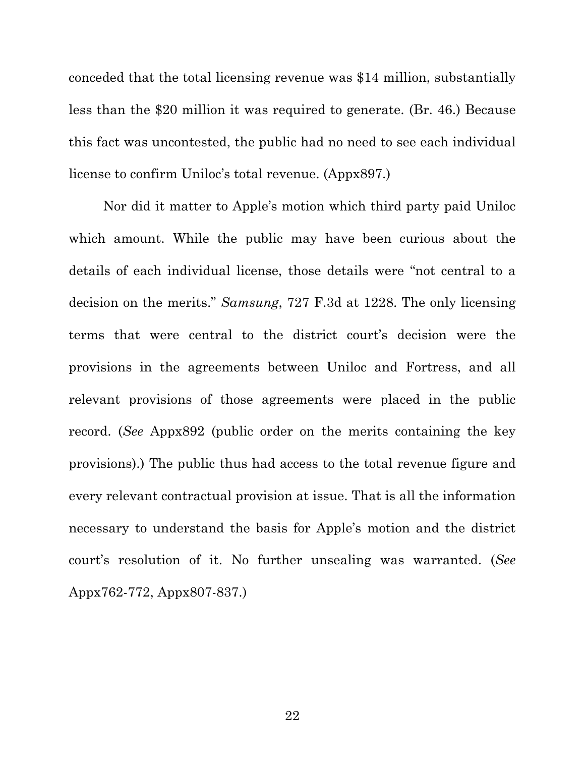conceded that the total licensing revenue was \$14 million, substantially less than the \$20 million it was required to generate. (Br. 46.) Because this fact was uncontested, the public had no need to see each individual license to confirm Uniloc's total revenue. (Appx897.)

Nor did it matter to Apple's motion which third party paid Uniloc which amount. While the public may have been curious about the details of each individual license, those details were "not central to a decision on the merits." *Samsung*, 727 F.3d at 1228. The only licensing terms that were central to the district court's decision were the provisions in the agreements between Uniloc and Fortress, and all relevant provisions of those agreements were placed in the public record. (*See* Appx892 (public order on the merits containing the key provisions).) The public thus had access to the total revenue figure and every relevant contractual provision at issue. That is all the information necessary to understand the basis for Apple's motion and the district court's resolution of it. No further unsealing was warranted. (*See* Appx762-772, Appx807-837.)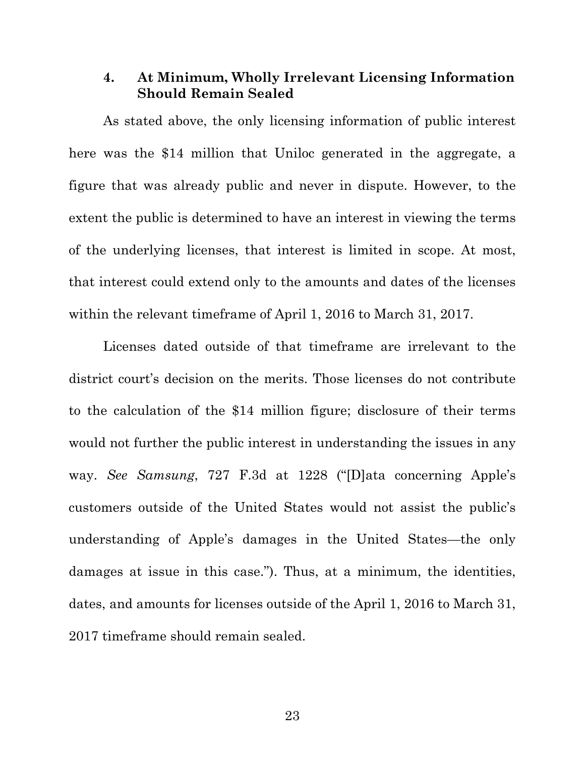#### <span id="page-30-0"></span>**4. At Minimum, Wholly Irrelevant Licensing Information Should Remain Sealed**

As stated above, the only licensing information of public interest here was the \$14 million that Uniloc generated in the aggregate, a figure that was already public and never in dispute. However, to the extent the public is determined to have an interest in viewing the terms of the underlying licenses, that interest is limited in scope. At most, that interest could extend only to the amounts and dates of the licenses within the relevant timeframe of April 1, 2016 to March 31, 2017.

Licenses dated outside of that timeframe are irrelevant to the district court's decision on the merits. Those licenses do not contribute to the calculation of the \$14 million figure; disclosure of their terms would not further the public interest in understanding the issues in any way. *See Samsung*, 727 F.3d at 1228 ("[D]ata concerning Apple's customers outside of the United States would not assist the public's understanding of Apple's damages in the United States—the only damages at issue in this case."). Thus, at a minimum, the identities, dates, and amounts for licenses outside of the April 1, 2016 to March 31, 2017 timeframe should remain sealed.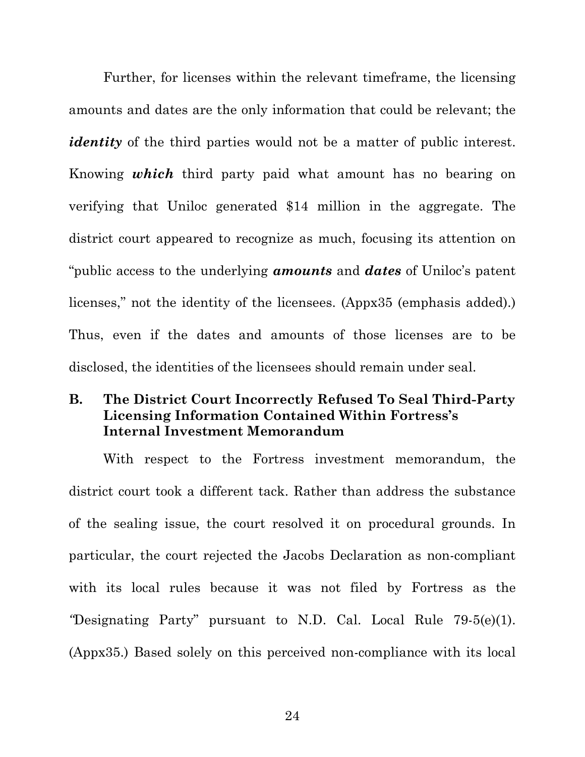Further, for licenses within the relevant timeframe, the licensing amounts and dates are the only information that could be relevant; the *identity* of the third parties would not be a matter of public interest. Knowing *which* third party paid what amount has no bearing on verifying that Uniloc generated \$14 million in the aggregate. The district court appeared to recognize as much, focusing its attention on "public access to the underlying *amounts* and *dates* of Uniloc's patent licenses," not the identity of the licensees. (Appx35 (emphasis added).) Thus, even if the dates and amounts of those licenses are to be disclosed, the identities of the licensees should remain under seal.

#### <span id="page-31-0"></span>**B. The District Court Incorrectly Refused To Seal Third-Party Licensing Information Contained Within Fortress's Internal Investment Memorandum**

With respect to the Fortress investment memorandum, the district court took a different tack. Rather than address the substance of the sealing issue, the court resolved it on procedural grounds. In particular, the court rejected the Jacobs Declaration as non-compliant with its local rules because it was not filed by Fortress as the *"*Designating Party" pursuant to N.D. Cal. Local Rule 79-5(e)(1). (Appx35.) Based solely on this perceived non-compliance with its local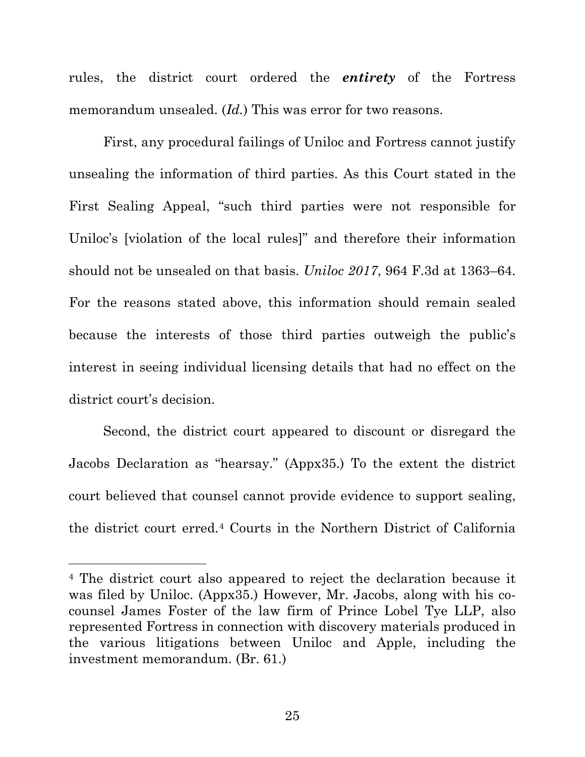rules, the district court ordered the *entirety* of the Fortress memorandum unsealed. (*Id.*) This was error for two reasons.

First, any procedural failings of Uniloc and Fortress cannot justify unsealing the information of third parties. As this Court stated in the First Sealing Appeal, "such third parties were not responsible for Uniloc's [violation of the local rules]" and therefore their information should not be unsealed on that basis. *Uniloc 2017*, 964 F.3d at 1363–64. For the reasons stated above, this information should remain sealed because the interests of those third parties outweigh the public's interest in seeing individual licensing details that had no effect on the district court's decision.

Second, the district court appeared to discount or disregard the Jacobs Declaration as "hearsay." (Appx35.) To the extent the district court believed that counsel cannot provide evidence to support sealing, the district court erred.[4](#page-32-0) Courts in the Northern District of California

<span id="page-32-0"></span><sup>4</sup> The district court also appeared to reject the declaration because it was filed by Uniloc. (Appx35.) However, Mr. Jacobs, along with his cocounsel James Foster of the law firm of Prince Lobel Tye LLP, also represented Fortress in connection with discovery materials produced in the various litigations between Uniloc and Apple, including the investment memorandum. (Br. 61.)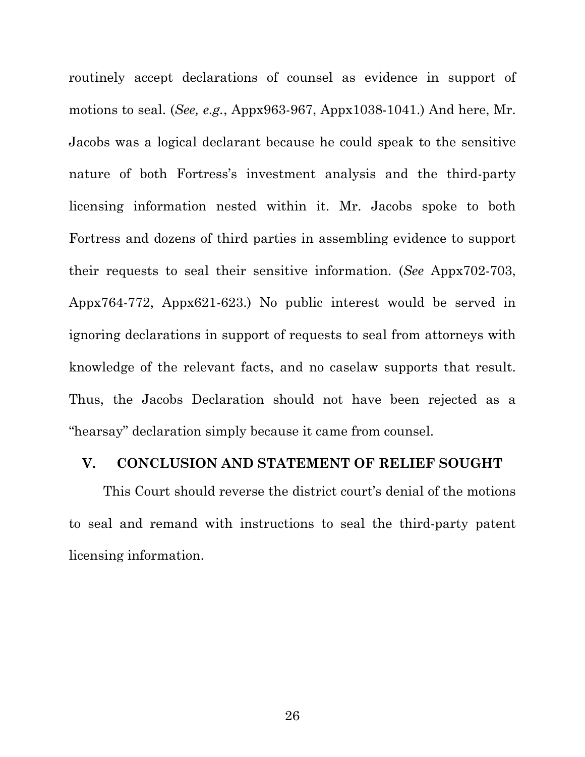routinely accept declarations of counsel as evidence in support of motions to seal. (*See, e.g.*, Appx963-967, Appx1038-1041.) And here, Mr. Jacobs was a logical declarant because he could speak to the sensitive nature of both Fortress's investment analysis and the third-party licensing information nested within it. Mr. Jacobs spoke to both Fortress and dozens of third parties in assembling evidence to support their requests to seal their sensitive information. (*See* Appx702-703, Appx764-772, Appx621-623.) No public interest would be served in ignoring declarations in support of requests to seal from attorneys with knowledge of the relevant facts, and no caselaw supports that result. Thus, the Jacobs Declaration should not have been rejected as a "hearsay" declaration simply because it came from counsel.

#### <span id="page-33-0"></span>**V. CONCLUSION AND STATEMENT OF RELIEF SOUGHT**

This Court should reverse the district court's denial of the motions to seal and remand with instructions to seal the third-party patent licensing information.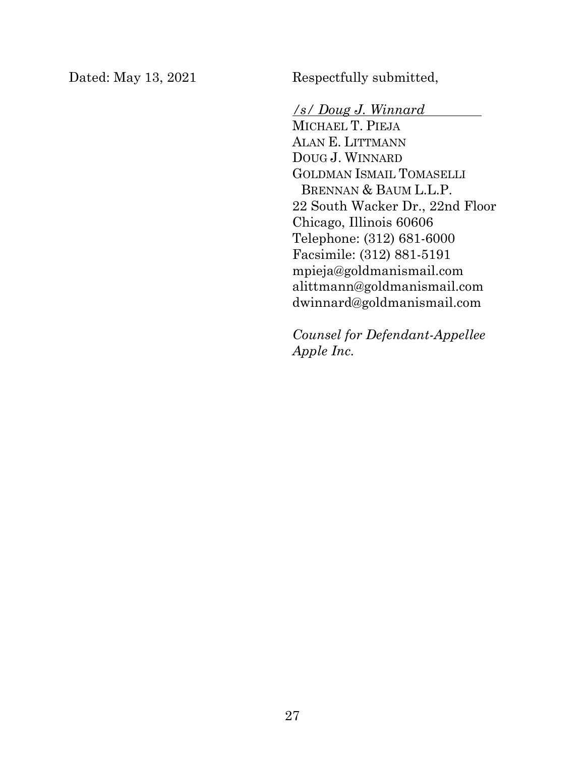Dated: May 13, 2021 Respectfully submitted,

*/s/ Doug J. Winnard* MICHAEL T. PIEJA ALAN E. LITTMANN DOUG J. WINNARD GOLDMAN ISMAIL TOMASELLI BRENNAN & BAUM L.L.P. 22 South Wacker Dr., 22nd Floor Chicago, Illinois 60606 Telephone: (312) 681-6000 Facsimile: (312) 881-5191 mpieja@goldmanismail.com alittmann@goldmanismail.com dwinnard@goldmanismail.com

*Counsel for Defendant-Appellee Apple Inc.*